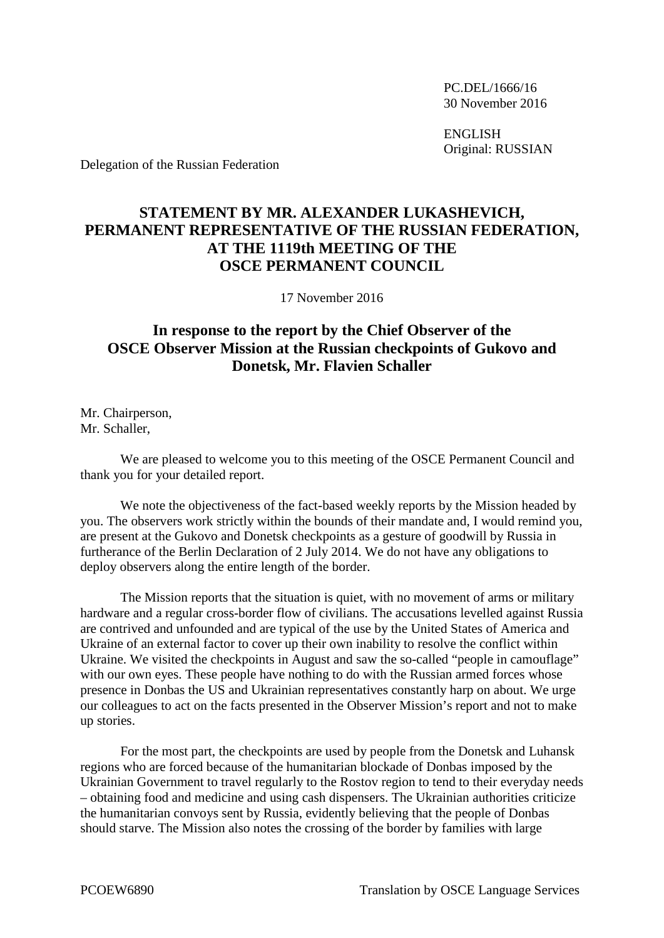PC.DEL/1666/16 30 November 2016

ENGLISH Original: RUSSIAN

Delegation of the Russian Federation

## **STATEMENT BY MR. ALEXANDER LUKASHEVICH, PERMANENT REPRESENTATIVE OF THE RUSSIAN FEDERATION, AT THE 1119th MEETING OF THE OSCE PERMANENT COUNCIL**

17 November 2016

## **In response to the report by the Chief Observer of the OSCE Observer Mission at the Russian checkpoints of Gukovo and Donetsk, Mr. Flavien Schaller**

Mr. Chairperson, Mr. Schaller,

We are pleased to welcome you to this meeting of the OSCE Permanent Council and thank you for your detailed report.

We note the objectiveness of the fact-based weekly reports by the Mission headed by you. The observers work strictly within the bounds of their mandate and, I would remind you, are present at the Gukovo and Donetsk checkpoints as a gesture of goodwill by Russia in furtherance of the Berlin Declaration of 2 July 2014. We do not have any obligations to deploy observers along the entire length of the border.

The Mission reports that the situation is quiet, with no movement of arms or military hardware and a regular cross-border flow of civilians. The accusations levelled against Russia are contrived and unfounded and are typical of the use by the United States of America and Ukraine of an external factor to cover up their own inability to resolve the conflict within Ukraine. We visited the checkpoints in August and saw the so-called "people in camouflage" with our own eyes. These people have nothing to do with the Russian armed forces whose presence in Donbas the US and Ukrainian representatives constantly harp on about. We urge our colleagues to act on the facts presented in the Observer Mission's report and not to make up stories.

For the most part, the checkpoints are used by people from the Donetsk and Luhansk regions who are forced because of the humanitarian blockade of Donbas imposed by the Ukrainian Government to travel regularly to the Rostov region to tend to their everyday needs – obtaining food and medicine and using cash dispensers. The Ukrainian authorities criticize the humanitarian convoys sent by Russia, evidently believing that the people of Donbas should starve. The Mission also notes the crossing of the border by families with large